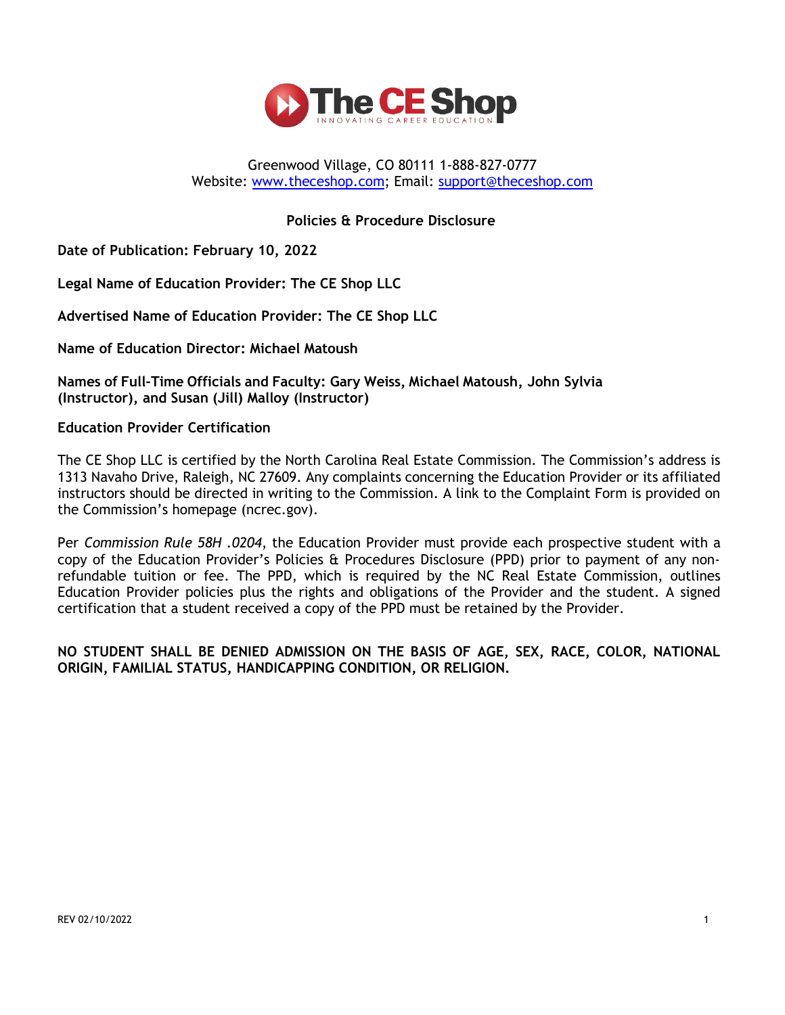

#### Greenwood Village, CO 80111 1-888-827-0777 Website: [www.theceshop.com;](http://www.theceshop.com/) Email: [support@theceshop.com](mailto:support@theceshop.com)

### **Policies & Procedure Disclosure**

**Date of Publication: February 10, 2022**

**Legal Name of Education Provider: The CE Shop LLC**

**Advertised Name of Education Provider: The CE Shop LLC**

**Name of Education Director: Michael Matoush** 

**Names of Full-Time Officials and Faculty: Gary Weiss, Michael Matoush, John Sylvia (Instructor), and Susan (Jill) Malloy (Instructor)**

**Education Provider Certification**

The CE Shop LLC is certified by the North Carolina Real Estate Commission. The Commission's address is 1313 Navaho Drive, Raleigh, NC 27609. Any complaints concerning the Education Provider or its affiliated instructors should be directed in writing to the Commission. A link to the Complaint Form is provided on the Commission's homepage (ncrec.gov).

Per *Commission Rule 58H .0204*, the Education Provider must provide each prospective student with a copy of the Education Provider's Policies & Procedures Disclosure (PPD) prior to payment of any nonrefundable tuition or fee. The PPD, which is required by the NC Real Estate Commission, outlines Education Provider policies plus the rights and obligations of the Provider and the student. A signed certification that a student received a copy of the PPD must be retained by the Provider.

**NO STUDENT SHALL BE DENIED ADMISSION ON THE BASIS OF AGE, SEX, RACE, COLOR, NATIONAL ORIGIN, FAMILIAL STATUS, HANDICAPPING CONDITION, OR RELIGION.**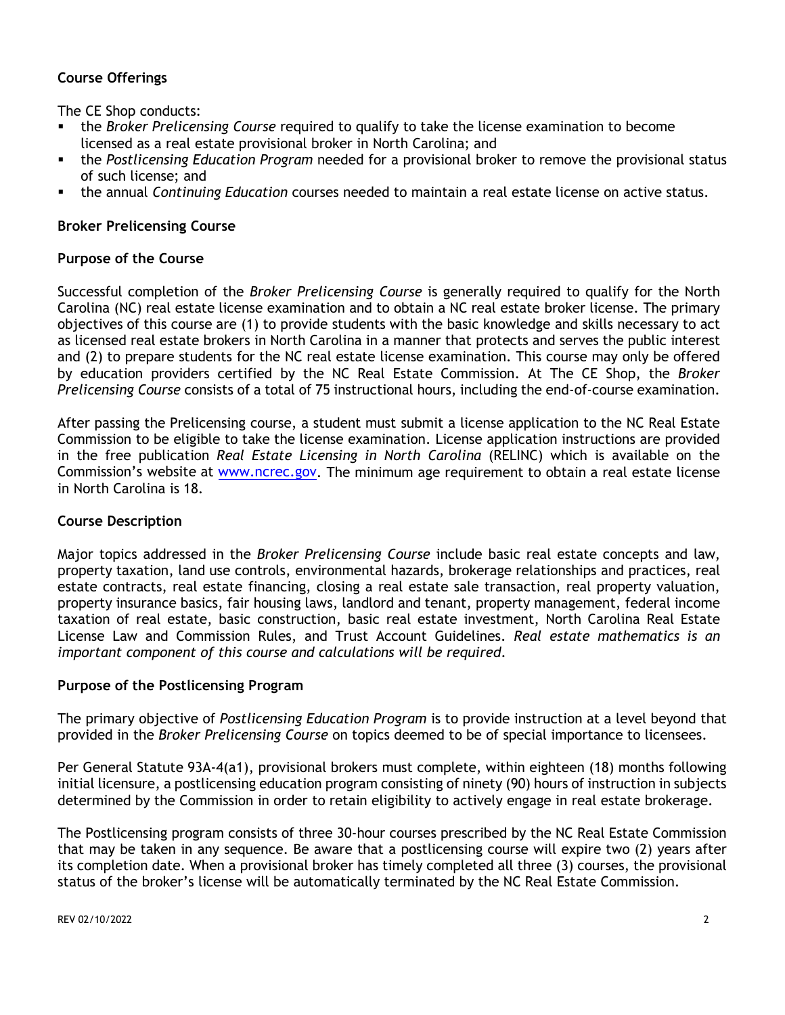# **Course Offerings**

The CE Shop conducts:

- the *Broker Prelicensing Course* required to qualify to take the license examination to become licensed as a real estate provisional broker in North Carolina; and
- the *Postlicensing Education Program* needed for a provisional broker to remove the provisional status of such license; and
- the annual *Continuing Education* courses needed to maintain a real estate license on active status.

# **Broker Prelicensing Course**

## **Purpose of the Course**

Successful completion of the *Broker Prelicensing Course* is generally required to qualify for the North Carolina (NC) real estate license examination and to obtain a NC real estate broker license. The primary objectives of this course are (1) to provide students with the basic knowledge and skills necessary to act as licensed real estate brokers in North Carolina in a manner that protects and serves the public interest and (2) to prepare students for the NC real estate license examination. This course may only be offered by education providers certified by the NC Real Estate Commission. At The CE Shop, the *Broker Prelicensing Course* consists of a total of 75 instructional hours, including the end-of-course examination.

After passing the Prelicensing course, a student must submit a license application to the NC Real Estate Commission to be eligible to take the license examination. License application instructions are provided in the free publication *Real Estate Licensing in North Carolina* (RELINC) which is available on the Commission's website at [www.ncrec.gov.](http://www.ncrec.gov/) The minimum age requirement to obtain a real estate license in North Carolina is 18.

### **Course Description**

Major topics addressed in the *Broker Prelicensing Course* include basic real estate concepts and law, property taxation, land use controls, environmental hazards, brokerage relationships and practices, real estate contracts, real estate financing, closing a real estate sale transaction, real property valuation, property insurance basics, fair housing laws, landlord and tenant, property management, federal income taxation of real estate, basic construction, basic real estate investment, North Carolina Real Estate License Law and Commission Rules, and Trust Account Guidelines. *Real estate mathematics is an important component of this course and calculations will be required*.

### **Purpose of the Postlicensing Program**

The primary objective of *Postlicensing Education Program* is to provide instruction at a level beyond that provided in the *Broker Prelicensing Course* on topics deemed to be of special importance to licensees.

Per General Statute 93A-4(a1), provisional brokers must complete, within eighteen (18) months following initial licensure, a postlicensing education program consisting of ninety (90) hours of instruction in subjects determined by the Commission in order to retain eligibility to actively engage in real estate brokerage.

The Postlicensing program consists of three 30-hour courses prescribed by the NC Real Estate Commission that may be taken in any sequence. Be aware that a postlicensing course will expire two (2) years after its completion date. When a provisional broker has timely completed all three (3) courses, the provisional status of the broker's license will be automatically terminated by the NC Real Estate Commission.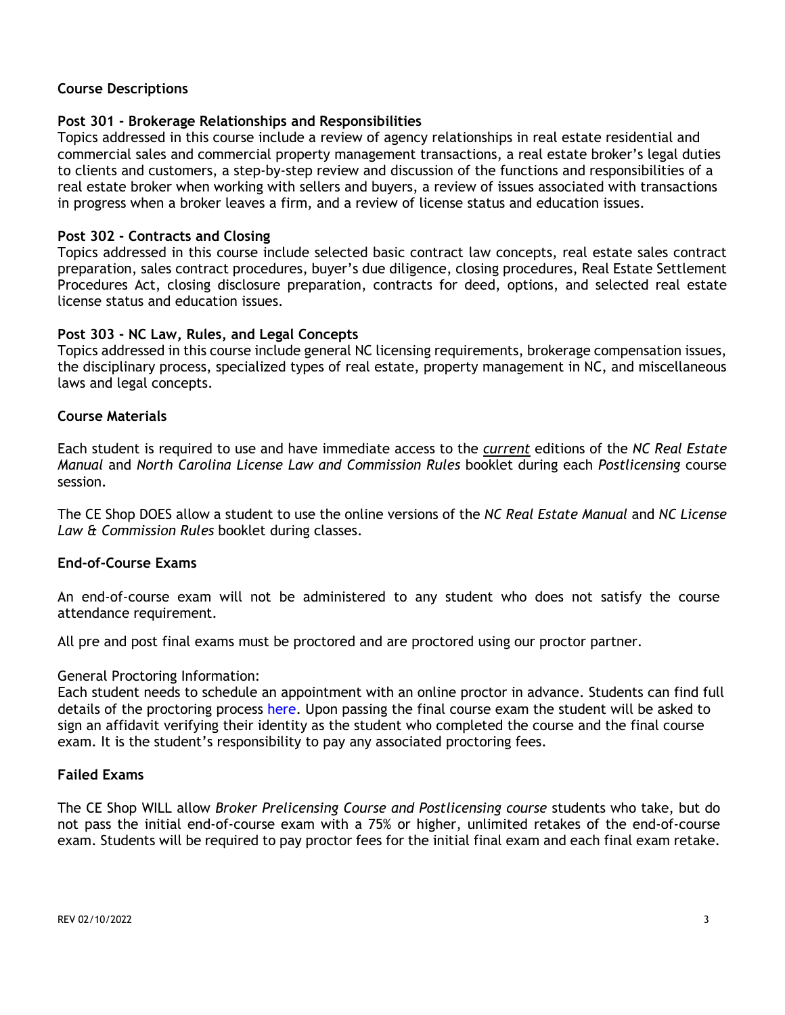## **Course Descriptions**

## **Post 301 - Brokerage Relationships and Responsibilities**

Topics addressed in this course include a review of agency relationships in real estate residential and commercial sales and commercial property management transactions, a real estate broker's legal duties to clients and customers, a step-by-step review and discussion of the functions and responsibilities of a real estate broker when working with sellers and buyers, a review of issues associated with transactions in progress when a broker leaves a firm, and a review of license status and education issues.

## **Post 302 - Contracts and Closing**

Topics addressed in this course include selected basic contract law concepts, real estate sales contract preparation, sales contract procedures, buyer's due diligence, closing procedures, Real Estate Settlement Procedures Act, closing disclosure preparation, contracts for deed, options, and selected real estate license status and education issues.

### **Post 303 - NC Law, Rules, and Legal Concepts**

Topics addressed in this course include general NC licensing requirements, brokerage compensation issues, the disciplinary process, specialized types of real estate, property management in NC, and miscellaneous laws and legal concepts.

### **Course Materials**

Each student is required to use and have immediate access to the *current* editions of the *NC Real Estate Manual* and *North Carolina License Law and Commission Rules* booklet during each *Postlicensing* course session.

The CE Shop DOES allow a student to use the online versions of the *NC Real Estate Manual* and *NC License Law & Commission Rules* booklet during classes.

### **End-of-Course Exams**

An end-of-course exam will not be administered to any student who does not satisfy the course attendance requirement.

All pre and post final exams must be proctored and are proctored using our proctor partner.

### General Proctoring Information:

Each student needs to schedule an appointment with an online proctor in advance. Students can find full details of the proctoring process here. Upon passing the final course exam the student will be asked to sign an affidavit verifying their identity as the student who completed the course and the final course exam. It is the student's responsibility to pay any associated proctoring fees.

### **Failed Exams**

The CE Shop WILL allow *Broker Prelicensing Course and Postlicensing course* students who take, but do not pass the initial end-of-course exam with a 75% or higher, unlimited retakes of the end-of-course exam. Students will be required to pay proctor fees for the initial final exam and each final exam retake.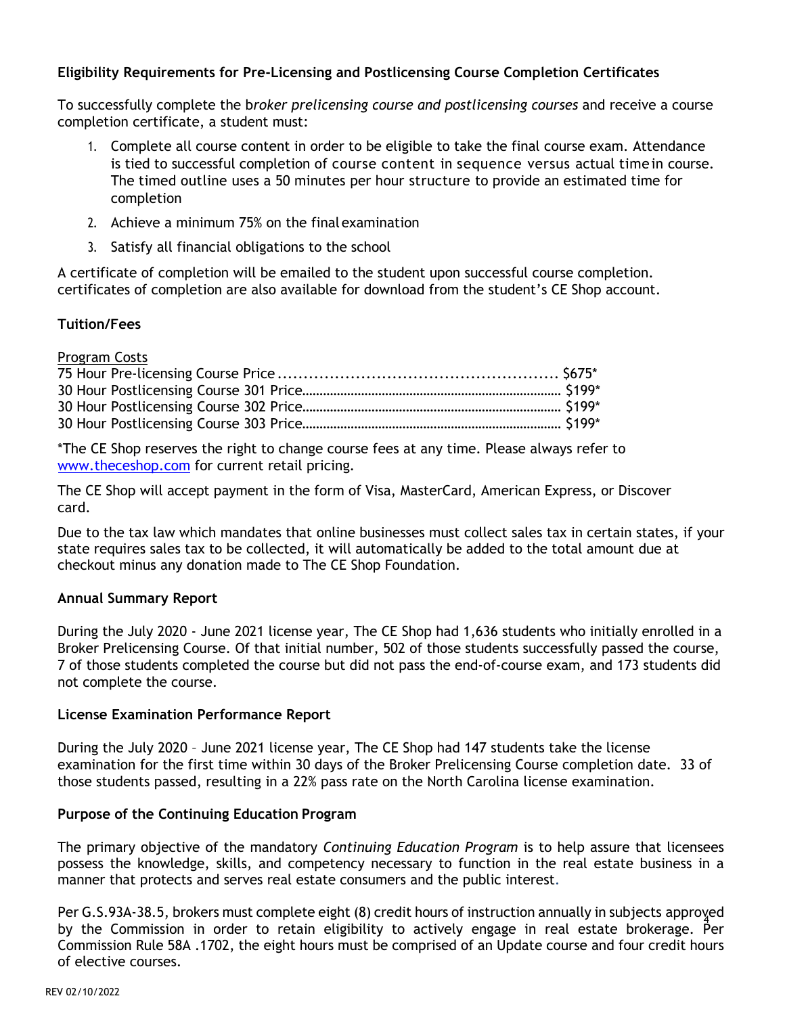# **Eligibility Requirements for Pre-Licensing and Postlicensing Course Completion Certificates**

To successfully complete the b*roker prelicensing course and postlicensing courses* and receive a course completion certificate, a student must:

- 1. Complete all course content in order to be eligible to take the final course exam. Attendance is tied to successful completion of course content in sequence versus actual time in course. The timed outline uses a 50 minutes per hour structure to provide an estimated time for completion
- 2. Achieve a minimum 75% on the finalexamination
- 3. Satisfy all financial obligations to the school

A certificate of completion will be emailed to the student upon successful course completion. certificates of completion are also available for download from the student's CE Shop account.

### **Tuition/Fees**

Program Costs

\*The CE Shop reserves the right to change course fees at any time. Please always refer to [www.theceshop.com](http://www.theceshop.com/) for current retail pricing.

The CE Shop will accept payment in the form of Visa, MasterCard, American Express, or Discover card.

Due to the tax law which mandates that online businesses must collect sales tax in certain states, if your state requires sales tax to be collected, it will automatically be added to the total amount due at checkout minus any donation made to The CE Shop Foundation.

### **Annual Summary Report**

During the July 2020 - June 2021 license year, The CE Shop had 1,636 students who initially enrolled in a Broker Prelicensing Course. Of that initial number, 502 of those students successfully passed the course, 7 of those students completed the course but did not pass the end-of-course exam, and 173 students did not complete the course.

### **License Examination Performance Report**

During the July 2020 – June 2021 license year, The CE Shop had 147 students take the license examination for the first time within 30 days of the Broker Prelicensing Course completion date. 33 of those students passed, resulting in a 22% pass rate on the North Carolina license examination.

### **Purpose of the Continuing Education Program**

The primary objective of the mandatory *Continuing Education Program* is to help assure that licensees possess the knowledge, skills, and competency necessary to function in the real estate business in a manner that protects and serves real estate consumers and the public interest.

4 by the Commission in order to retain eligibility to actively engage in real estate brokerage. Per Per G.S.93A-38.5, brokers must complete eight (8) credit hours of instruction annually in subjects approved Commission Rule 58A .1702, the eight hours must be comprised of an Update course and four credit hours of elective courses.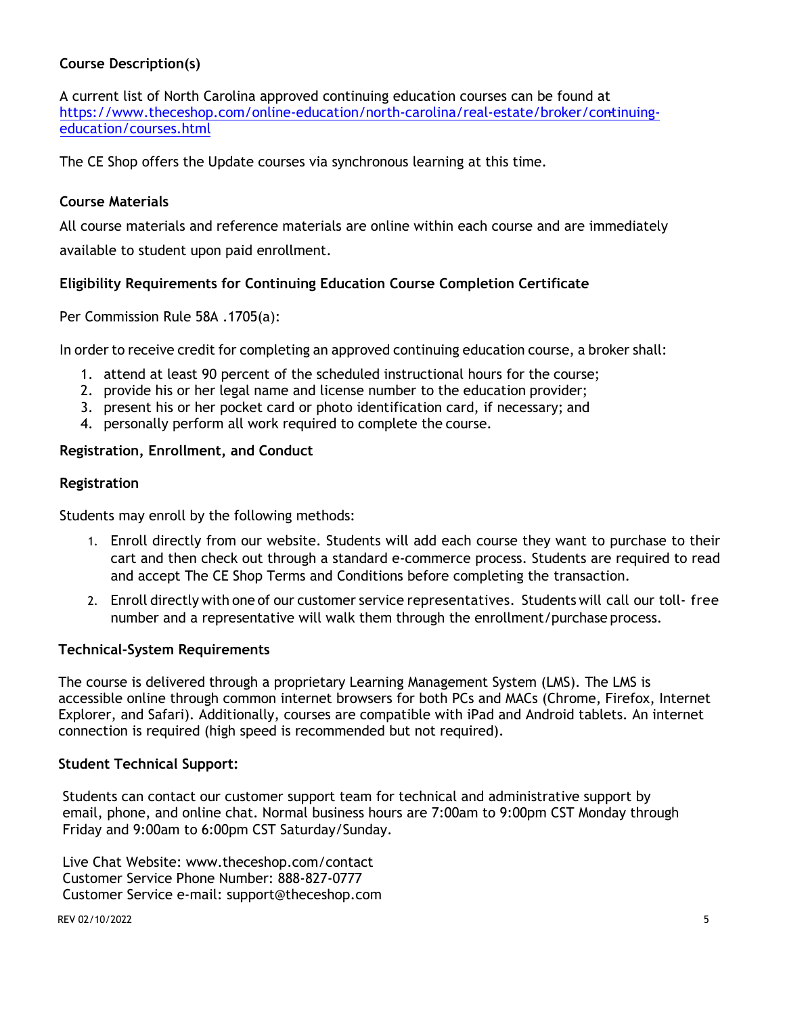# **Course Description(s)**

A current list of North Carolina approved continuing education courses can be found at [https://www.theceshop.com/online-education/north-carolina/real-estate/broker/continuing](https://www.theceshop.com/online-education/north-carolina/real-estate/broker/continuing-education/courses.html)[education/courses.html](https://www.theceshop.com/online-education/north-carolina/real-estate/broker/continuing-education/courses.html)

The CE Shop offers the Update courses via synchronous learning at this time.

# **Course Materials**

All course materials and reference materials are online within each course and are immediately available to student upon paid enrollment.

# **Eligibility Requirements for Continuing Education Course Completion Certificate**

Per Commission Rule 58A .1705(a):

In order to receive credit for completing an approved continuing education course, a broker shall:

- 1. attend at least 90 percent of the scheduled instructional hours for the course;
- 2. provide his or her legal name and license number to the education provider;
- 3. present his or her pocket card or photo identification card, if necessary; and
- 4. personally perform all work required to complete the course.

### **Registration, Enrollment, and Conduct**

### **Registration**

Students may enroll by the following methods:

- 1. Enroll directly from our website. Students will add each course they want to purchase to their cart and then check out through a standard e-commerce process. Students are required to read and accept The CE Shop Terms and Conditions before completing the transaction.
- 2. Enroll directly with one of our customer service representatives. Students will call our toll- free number and a representative will walk them through the enrollment/purchase process.

### **Technical-System Requirements**

The course is delivered through a proprietary Learning Management System (LMS). The LMS is accessible online through common internet browsers for both PCs and MACs (Chrome, Firefox, Internet Explorer, and Safari). Additionally, courses are compatible with iPad and Android tablets. An internet connection is required (high speed is recommended but not required).

#### **Student Technical Support:**

Students can contact our customer support team for technical and administrative support by email, phone, and online chat. Normal business hours are 7:00am to 9:00pm CST Monday through Friday and 9:00am to 6:00pm CST Saturday/Sunday.

Live Chat Website: www.theceshop.com/contact Customer Service Phone Number: 888-827-0777 Customer Service e-mail: support@theceshop.com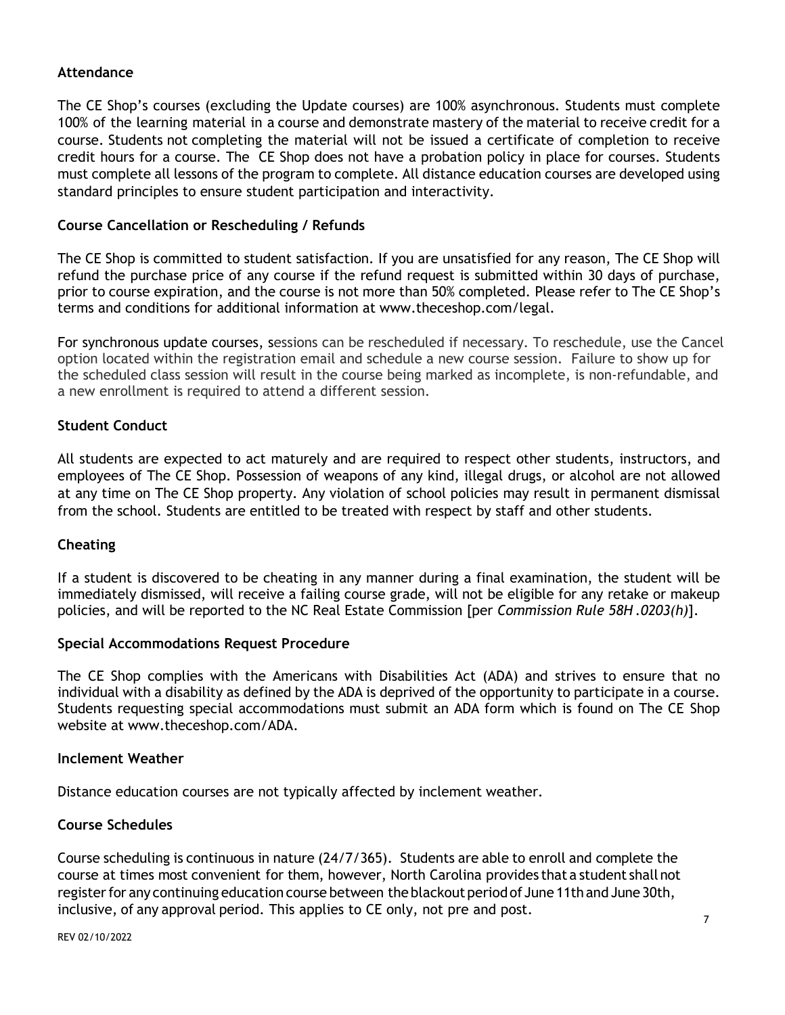#### **Attendance**

The CE Shop's courses (excluding the Update courses) are 100% asynchronous. Students must complete 100% of the learning material in a course and demonstrate mastery of the material to receive credit for a course. Students not completing the material will not be issued a certificate of completion to receive credit hours for a course. The CE Shop does not have a probation policy in place for courses. Students must complete all lessons of the program to complete. All distance education courses are developed using standard principles to ensure student participation and interactivity.

### **Course Cancellation or Rescheduling / Refunds**

The CE Shop is committed to student satisfaction. If you are unsatisfied for any reason, The CE Shop will refund the purchase price of any course if the refund request is submitted within 30 days of purchase, prior to course expiration, and the course is not more than 50% completed. Please refer to The CE Shop's terms and conditions for additional information at [www.theceshop.com/legal.](http://www.theceshop.com/legal)

For synchronous update courses, sessions can be rescheduled if necessary. To reschedule, use the Cancel option located within the registration email and schedule a new course session. Failure to show up for the scheduled class session will result in the course being marked as incomplete, is non-refundable, and a new enrollment is required to attend a different session.

### **Student Conduct**

All students are expected to act maturely and are required to respect other students, instructors, and employees of The CE Shop. Possession of weapons of any kind, illegal drugs, or alcohol are not allowed at any time on The CE Shop property. Any violation of school policies may result in permanent dismissal from the school. Students are entitled to be treated with respect by staff and other students.

#### **Cheating**

If a student is discovered to be cheating in any manner during a final examination, the student will be immediately dismissed, will receive a failing course grade, will not be eligible for any retake or makeup policies, and will be reported to the NC Real Estate Commission [per *Commission Rule 58H .0203(h)*].

#### **Special Accommodations Request Procedure**

The CE Shop complies with the Americans with Disabilities Act (ADA) and strives to ensure that no individual with a disability as defined by the ADA is deprived of the opportunity to participate in a course. Students requesting special accommodations must submit an ADA form which is found on The CE Shop website at [www.theceshop.com/ADA.](http://www.theceshop.com/ADA)

#### **Inclement Weather**

Distance education courses are not typically affected by inclement weather*.* 

### **Course Schedules**

Course scheduling is continuous in nature (24/7/365). Students are able to enroll and complete the course at times most convenient for them, however, North Carolina provides that a student shall not register for any continuing education course between the blackout period of June 11th and June 30th, inclusive, of any approval period. This applies to CE only, not pre and post.